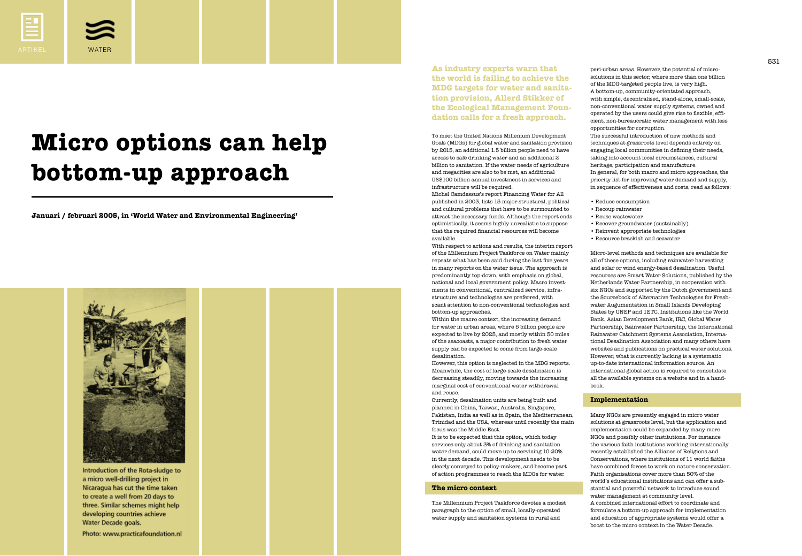530

**Januari / februari 2005, in 'World Water and Environmental Engineering'**



Introduction of the Rota-sludge to a micro well-drilling project in Nicaragua has cut the time taken to create a well from 20 days to three. Similar schemes might help developing countries achieve Water Decade goals.

Photo: www.practicafoundation.nl

## **Micro options can help bottom-up approach**



*WATER*

**As industry experts warn that the world is failing to achieve the MDG targets for water and sanitation provision, Allerd Stikker of the Ecological Management Foundation calls for a fresh approach.**

To meet the United Nations Millenium Development Goals (MDGs) for global water and sanitation provision by 2015, an additional 1.5 billion people need to have access to safe drinking water and an additional 2 billion to sanitation. If the water needs of agriculture and megacities are also to be met, an additional US\$100 billion annual investment in services and infrastructure will be required. Michel Camdessus's report Financing Water for All published in 2003, lists 15 major structural, political and cultural problems that have to be surmounted to attract the necessary funds. Although the report ends optimistically, it seems highly unrealistic to suppose that the required financial resources will become available.

With respect to actions and results, the interim report of the Millennium Project Taskforce on Water mainly repeats what has been said during the last five years in many reports on the water issue. The approach is predominantly top-down, with emphasis on global, national and local government policy. Macro investments in conventional, centralized service, infrastructure and technologies are preferred, with scant attention to non-conventional technologies and bottom-up approaches. Within the macro context, the increasing demand for water in urban areas, where 5 billion people are expected to live by 2025, and mostly within 50 miles of the seacoasts, a major contribution to fresh water supply can be expected to come from large-scale desalination.

However, this option is neglected in the MDG reports. Meanwhile, the cost of large-scale desalination is decreasing steadily, moving towards the increasing marginal cost of conventional water withdrawal and reuse.

Currently, desalination units are being built and planned in China, Taiwan, Australia, Singapore, Pakistan, India as well as in Spain, the Mediterranean, Trinidad and the USA, whereas until recently the main focus was the Middle East. It is to be expected that this option, which today services only about 3% of drinking and sanitation water demand, could move up to servicing 10-20% in the next decade. This development needs to be clearly conveyed to policy-makers, and become part of action programmes to reach the MDGs for water.

## **The micro context**

The Millennium Project Taskforce devotes a modest paragraph to the option of small, locally-operated water supply and sanitation systems in rural and

peri-urban areas. However, the potential of microsolutions in this sector, where more than one billion of the MDG-targeted people live, is very high. A bottom-up, community-orientated approach, with simple, decentralised, stand-alone, small-scale, non-conventional water supply systems, owned and operated by the users could give rise to flexible, efficient, non-bureaucratic water management with less opportunities for corruption.

The successful introduction of new methods and techniques at grassroots level depends entirely on engaging local communities in defining their needs, taking into account local circumstances, cultural heritage, participation and manufacture. In general, for both macro and micro approaches, the

priority list for improving water demand and supply, in sequence of effectiveness and costs, read as follows:

- Reduce consumption
- Recoup rainwater
- Reuse wastewater
- Recover groundwater (sustainably)
- Reinvent appropriate technologies
- Resource brackish and seawater

Micro-level methods and techniques are available for all of these options, including rainwater harvesting and solar or wind energy-based desalination. Useful resources are Smart Water Solutions, published by the Netherlands Water Partnership, in cooperation with six NGOs and supported by the Dutch government and the Sourcebook of Alternative Technologies for Freshwater Augumentation in Small Islands Developing States by UNEP and 1ETC. Institutions like the World Bank, Asian Development Bank, IRC, Global Water Partnership, Rainwater Partnership, the International Rainwater Catchment Systems Association, International Desalination Association and many others have websites and publications on practical water solutions. However, what is currently lacking is a systematic up-to-date international information source. An international global action is required to consolidate all the available systems on a website and in a handbook.

## **Implementation**

Many NGOs are presently engaged in micro water solutions at grassroots level, but the application and implementation could be expanded by many more NGOs and possibly other institutions. For instance the various faith institutions working internationally recently established the Alliance of Religions and Conservations, where institutions of 11 world faiths have combined forces to work on nature conservation. Faith organisations cover more than 50% of the world's educational institutions and can offer a substantial and powerful network to introduce sound water management at community level. A combined international effort to coordinate and formulate a bottom-up approach for implementation and education of appropriate systems would offer a boost to the micro context in the Water Decade.